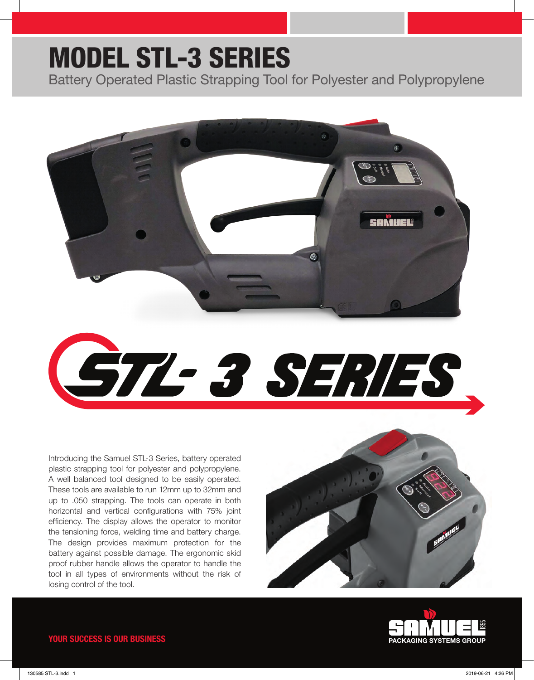## MODEL STL-3 SERIES

Battery Operated Plastic Strapping Tool for Polyester and Polypropylene





Introducing the Samuel STL-3 Series, battery operated plastic strapping tool for polyester and polypropylene. A well balanced tool designed to be easily operated. These tools are available to run 12mm up to 32mm and up to .050 strapping. The tools can operate in both horizontal and vertical configurations with 75% joint efficiency. The display allows the operator to monitor the tensioning force, welding time and battery charge. The design provides maximum protection for the battery against possible damage. The ergonomic skid proof rubber handle allows the operator to handle the tool in all types of environments without the risk of losing control of the tool.